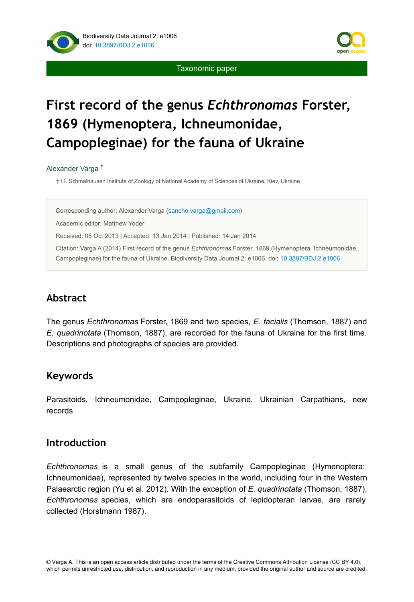

Taxonomic paper

# **First record of the genus** *Echthronomas* **Forster, 1869 (Hymenoptera, Ichneumonidae, Campopleginae) for the fauna of Ukraine**

#### Alexander Varga †

† I.I. Schmalhausen Institute of Zoology of National Academy of Sciences of Ukraine, Kiev, Ukraine

Corresponding author: Alexander Varga [\(sancho.varga@gmail.com](mailto:sancho.varga@gmail.com))

Academic editor: Matthew Yoder

Received: 05 Oct 2013 | Accepted: 13 Jan 2014 | Published: 14 Jan 2014

Citation: Varga A (2014) First record of the genus *Echthronomas* Forster, 1869 (Hymenoptera, Ichneumonidae, Campopleginae) for the fauna of Ukraine. Biodiversity Data Journal 2: e1006. doi: [10.3897/BDJ.2.e1006](http://dx.doi.org/10.3897/BDJ.2.e1006)

# **Abstract**

The genus *Echthronomas* Forster, 1869 and two species, *E. facialis* (Thomson, 1887) and *E. quadrinotata* (Thomson, 1887), are recorded for the fauna of Ukraine for the first time. Descriptions and photographs of species are provided.

# **Keywords**

Parasitoids, Ichneumonidae, Campopleginae, Ukraine, Ukrainian Carpathians, new records

# **Introduction**

*Echthronomas* is a small genus of the subfamily Campopleginae (Hymenoptera: Ichneumonidae), represented by twelve species in the world, including four in the Western Palaearctic region (Yu et al. 2012). With the exception of *E. quadrinotata* (Thomson, 1887), *Echthronomas* species, which are endoparasitoids of lepidopteran larvae, are rarely collected (Horstmann 1987).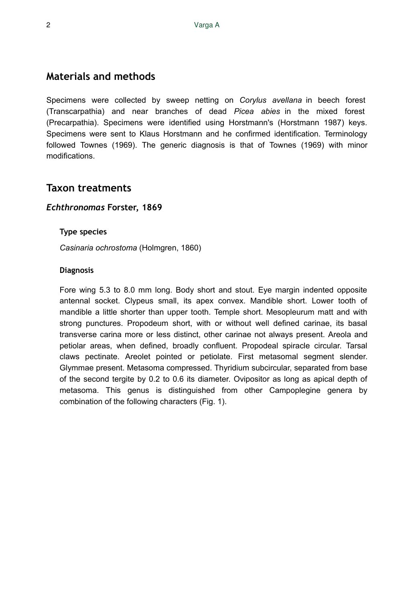# **Materials and methods**

Specimens were collected by sweep netting on *Corylus avellana* in beech forest (Transcarpathia) and near branches of dead *Picea abies* in the mixed forest (Precarpathia). Specimens were identified using Horstmann's (Horstmann 1987) keys. Specimens were sent to Klaus Horstmann and he confirmed identification. Terminology followed Townes (1969). The generic diagnosis is that of Townes (1969) with minor modifications.

# **Taxon treatments**

## *Echthronomas* **Forster, 1869**

## **Type species**

*Casinaria ochrostoma* (Holmgren, 1860)

## **Diagnosis**

Fore wing 5.3 to 8.0 mm long. Body short and stout. Eye margin indented opposite antennal socket. Clypeus small, its apex convex. Mandible short. Lower tooth of mandible a little shorter than upper tooth. Temple short. Mesopleurum matt and with strong punctures. Propodeum short, with or without well defined carinae, its basal transverse carina more or less distinct, other carinae not always present. Areola and petiolar areas, when defined, broadly confluent. Propodeal spiracle circular. Tarsal claws pectinate. Areolet pointed or petiolate. First metasomal segment slender. Glymmae present. Metasoma compressed. Thyridium subcircular, separated from base of the second tergite by 0.2 to 0.6 its diameter. Ovipositor as long as apical depth of metasoma. This genus is distinguished from other Campoplegine genera by combination of the following characters (Fig. 1).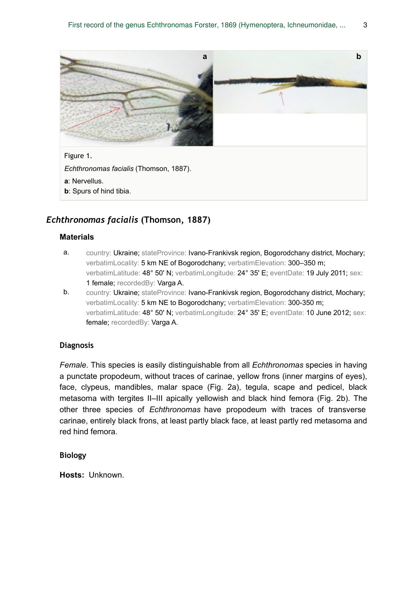

**b**: Spurs of hind tibia.

## *Echthronomas facialis* **(Thomson, 1887)**

#### **Materials**

- a. country: Ukraine; stateProvince: Ivano-Frankivsk region, Bogorodchany district, Mochary; verbatimLocality: 5 km NE of Bogorodchany; verbatimElevation: 300–350 m; verbatimLatitude: 48° 50' N; verbatimLongitude: 24° 35' E; eventDate: 19 July 2011; sex: 1 female; recordedBy: Varga A.
- b. country: Ukraine; stateProvince: Ivano-Frankivsk region, Bogorodchany district, Mochary; verbatimLocality: 5 km NE to Bogorodchany; verbatimElevation: 300-350 m; verbatimLatitude: 48° 50' N; verbatimLongitude: 24° 35' E; eventDate: 10 June 2012; sex: female; recordedBy: Varga A.

#### **Diagnosis**

*Female*. This species is easily distinguishable from all *Echthronomas* species in having a punctate propodeum, without traces of carinae, yellow frons (inner margins of eyes), face, clypeus, mandibles, malar space (Fig. 2a), tegula, scape and pedicel, black metasoma with tergites II–III apically yellowish and black hind femora (Fig. 2b). The other three species of *Echthronomas* have propodeum with traces of transverse carinae, entirely black frons, at least partly black face, at least partly red metasoma and red hind femora.

#### **Biology**

**Hosts:** Unknown.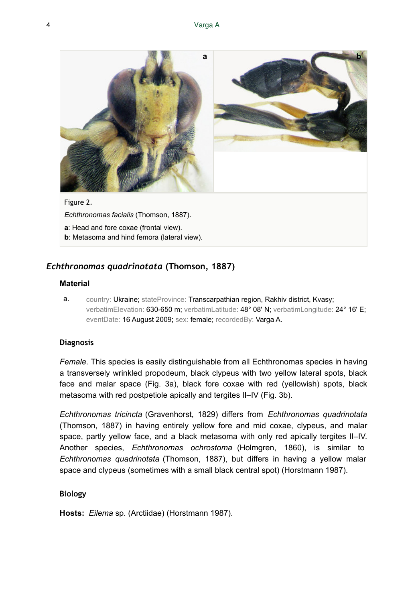

## *Echthronomas quadrinotata* **(Thomson, 1887)**

#### **Material**

a. country: Ukraine; stateProvince: Transcarpathian region, Rakhiv district, Kvasy; verbatimElevation: 630-650 m; verbatimLatitude: 48° 08' N; verbatimLongitude: 24° 16' E; eventDate: 16 August 2009; sex: female; recordedBy: Varga A.

### **Diagnosis**

*Female*. This species is easily distinguishable from all Echthronomas species in having a transversely wrinkled propodeum, black clypeus with two yellow lateral spots, black face and malar space (Fig. 3a), black fore coxae with red (yellowish) spots, black metasoma with red postpetiole apically and tergites II–IV (Fig. 3b).

*Echthronomas tricincta* (Gravenhorst, 1829) differs from *Echthronomas quadrinotata* (Thomson, 1887) in having entirely yellow fore and mid coxae, clypeus, and malar space, partly yellow face, and a black metasoma with only red apically tergites II–IV. Another species, *Echthronomas ochrostoma* (Holmgren, 1860), is similar to *Echthronomas quadrinotata* (Thomson, 1887), but differs in having a yellow malar space and clypeus (sometimes with a small black central spot) (Horstmann 1987).

### **Biology**

**Hosts:** *Eilema* sp. (Arctiidae) (Horstmann 1987).